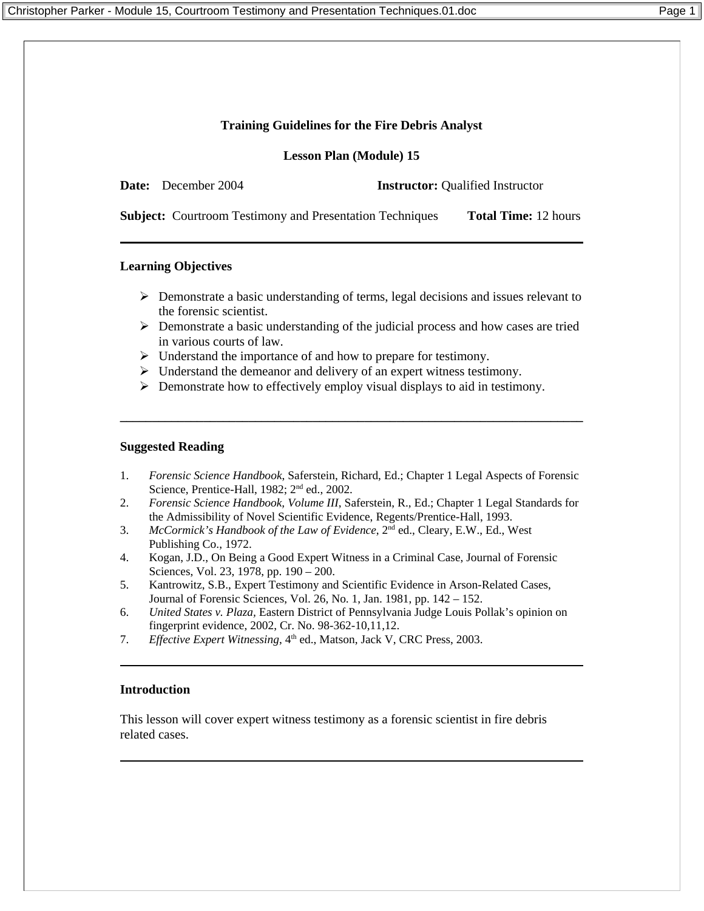### **Training Guidelines for the Fire Debris Analyst**

**Lesson Plan (Module) 15**

**Date:** December 2004 **Instructor:** Oualified Instructor

**Subject:** Courtroom Testimony and Presentation Techniques **Total Time:** 12 hours

### **Learning Objectives**

- $\triangleright$  Demonstrate a basic understanding of terms, legal decisions and issues relevant to the forensic scientist.
- ¾ Demonstrate a basic understanding of the judicial process and how cases are tried in various courts of law.
- $\triangleright$  Understand the importance of and how to prepare for testimony.
- $\triangleright$  Understand the demeanor and delivery of an expert witness testimony.
- $\triangleright$  Demonstrate how to effectively employ visual displays to aid in testimony.

#### **Suggested Reading**

1. *Forensic Science Handbook*, Saferstein, Richard, Ed.; Chapter 1 Legal Aspects of Forensic Science, Prentice-Hall, 1982; 2<sup>nd</sup> ed., 2002.

**\_\_\_\_\_\_\_\_\_\_\_\_\_\_\_\_\_\_\_\_\_\_\_\_\_\_\_\_\_\_\_\_\_\_\_\_\_\_\_\_\_\_\_\_\_\_\_\_\_\_\_\_\_\_\_\_\_\_\_\_\_\_\_\_\_\_\_\_\_\_\_\_** 

- 2. *Forensic Science Handbook, Volume III*, Saferstein, R., Ed.; Chapter 1 Legal Standards for the Admissibility of Novel Scientific Evidence, Regents/Prentice-Hall, 1993.
- 3. *McCormick's Handbook of the Law of Evidence*, 2nd ed., Cleary, E.W., Ed., West Publishing Co., 1972.
- 4. Kogan, J.D., On Being a Good Expert Witness in a Criminal Case, Journal of Forensic Sciences, Vol. 23, 1978, pp. 190 – 200.
- 5. Kantrowitz, S.B., Expert Testimony and Scientific Evidence in Arson-Related Cases, Journal of Forensic Sciences, Vol. 26, No. 1, Jan. 1981, pp. 142 – 152.
- 6. *United States v. Plaza,* Eastern District of Pennsylvania Judge Louis Pollak's opinion on fingerprint evidence, 2002, Cr. No. 98-362-10,11,12.
- 7. *Effective Expert Witnessing*, 4<sup>th</sup> ed., Matson, Jack V, CRC Press, 2003.

### **Introduction**

This lesson will cover expert witness testimony as a forensic scientist in fire debris related cases.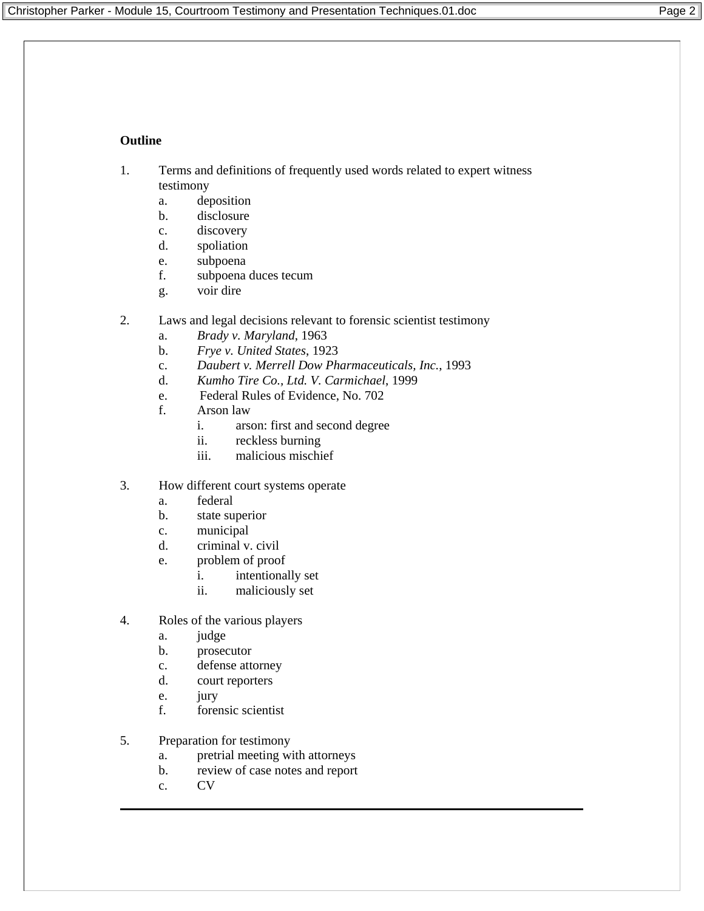# **Outline**

- 1. Terms and definitions of frequently used words related to expert witness testimony
	- a. deposition
	- b. disclosure
	- c. discovery
	- d. spoliation
	- e. subpoena
	- f. subpoena duces tecum
	- g. voir dire
- 2. Laws and legal decisions relevant to forensic scientist testimony
	- a. *Brady v. Maryland*, 1963
	- b. *Frye v. United States*, 1923
	- c. *Daubert v. Merrell Dow Pharmaceuticals, Inc.*, 1993
	- d. *Kumho Tire Co., Ltd. V. Carmichael*, 1999
	- e. Federal Rules of Evidence, No. 702
	- f. Arson law
		- i. arson: first and second degree
		- ii. reckless burning
		- iii. malicious mischief
- 3. How different court systems operate
	- a. federal
	- b. state superior
	- c. municipal
	- d. criminal v. civil
	- e. problem of proof
		- i. intentionally set
		- ii. maliciously set
- 4. Roles of the various players
	- a. judge
	- b. prosecutor
	- c. defense attorney
	- d. court reporters
	- e. jury<br>f. forei
	- forensic scientist
- 5. Preparation for testimony
	- a. pretrial meeting with attorneys
	- b. review of case notes and report
	- c. CV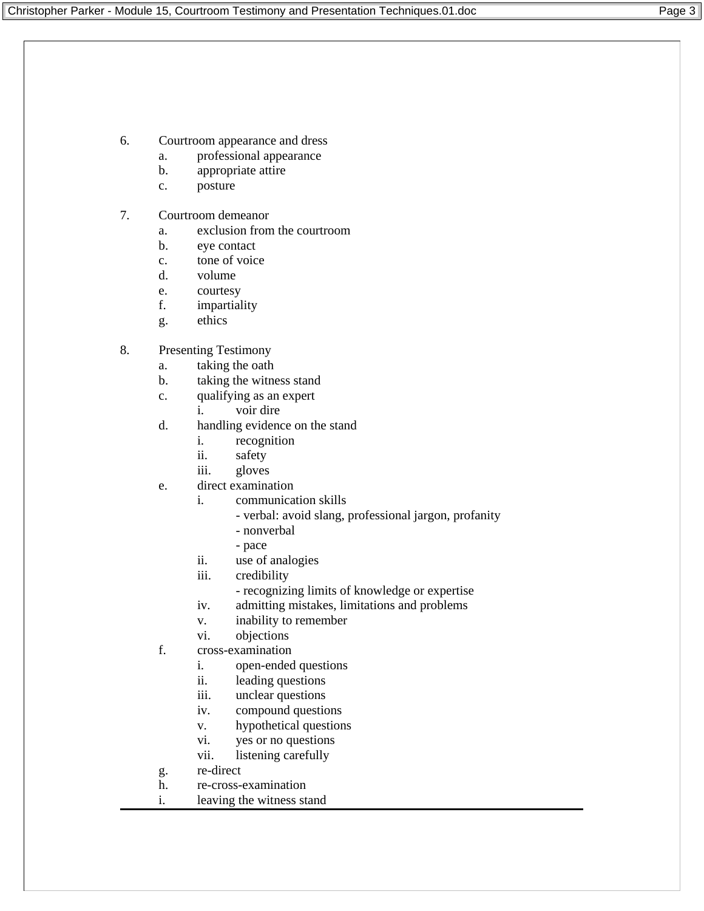- 6. Courtroom appearance and dress
	- a. professional appearance
	- b. appropriate attire
	- c. posture
- 7. Courtroom demeanor
	- a. exclusion from the courtroom
	- b. eye contact
	- c. tone of voice
	- d. volume
	- e. courtesy
	- f. impartiality
	- g. ethics
- 8. Presenting Testimony
	- a. taking the oath
	- b. taking the witness stand
	- c. qualifying as an expert
		- i. voir dire
	- d. handling evidence on the stand
		- i. recognition
		- ii. safety
		- iii. gloves
	- e. direct examination
		- i. communication skills
			- verbal: avoid slang, professional jargon, profanity
			- nonverbal
			- pace
		- ii. use of analogies
		- iii. credibility
			- recognizing limits of knowledge or expertise
		- iv. admitting mistakes, limitations and problems
		- v. inability to remember
		- vi. objections
	- f. cross-examination
		- i. open-ended questions
		- ii. leading questions
		- iii. unclear questions
		- iv. compound questions
		- v. hypothetical questions
		- vi. yes or no questions
		- vii. listening carefully
	- g. re-direct
	- h. re-cross-examination
	- i. leaving the witness stand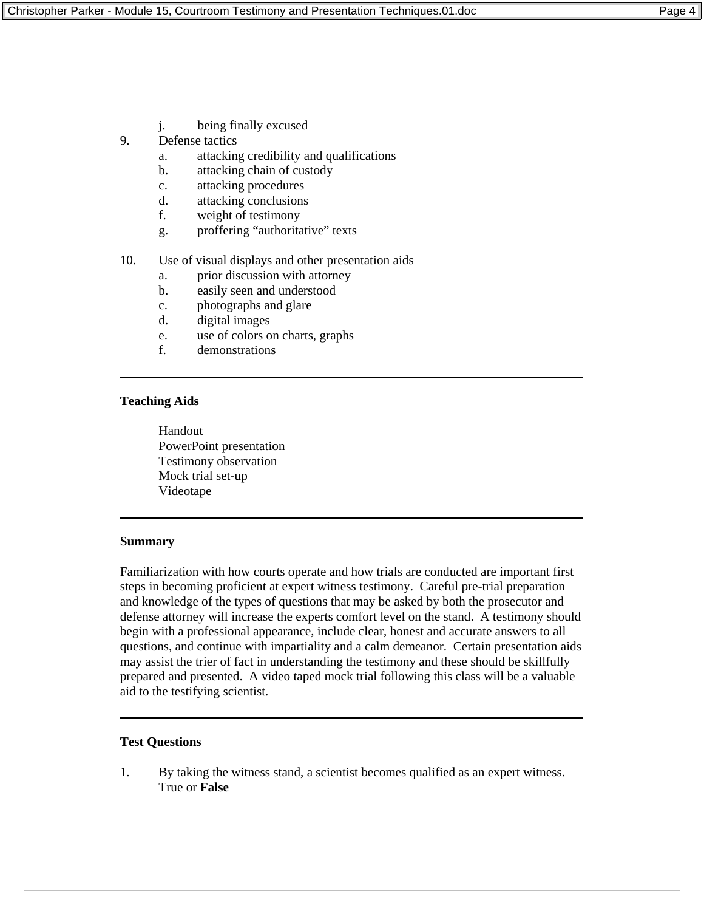j. being finally excused

## 9. Defense tactics

- a. attacking credibility and qualifications
- b. attacking chain of custody
- c. attacking procedures
- d. attacking conclusions
- f. weight of testimony
- g. proffering "authoritative" texts

## 10. Use of visual displays and other presentation aids

- a. prior discussion with attorney
- b. easily seen and understood
- c. photographs and glare
- d. digital images
- e. use of colors on charts, graphs
- f. demonstrations

## **Teaching Aids**

Handout PowerPoint presentation Testimony observation Mock trial set-up Videotape

## **Summary**

Familiarization with how courts operate and how trials are conducted are important first steps in becoming proficient at expert witness testimony. Careful pre-trial preparation and knowledge of the types of questions that may be asked by both the prosecutor and defense attorney will increase the experts comfort level on the stand. A testimony should begin with a professional appearance, include clear, honest and accurate answers to all questions, and continue with impartiality and a calm demeanor. Certain presentation aids may assist the trier of fact in understanding the testimony and these should be skillfully prepared and presented. A video taped mock trial following this class will be a valuable aid to the testifying scientist.

## **Test Questions**

1. By taking the witness stand, a scientist becomes qualified as an expert witness. True or **False**